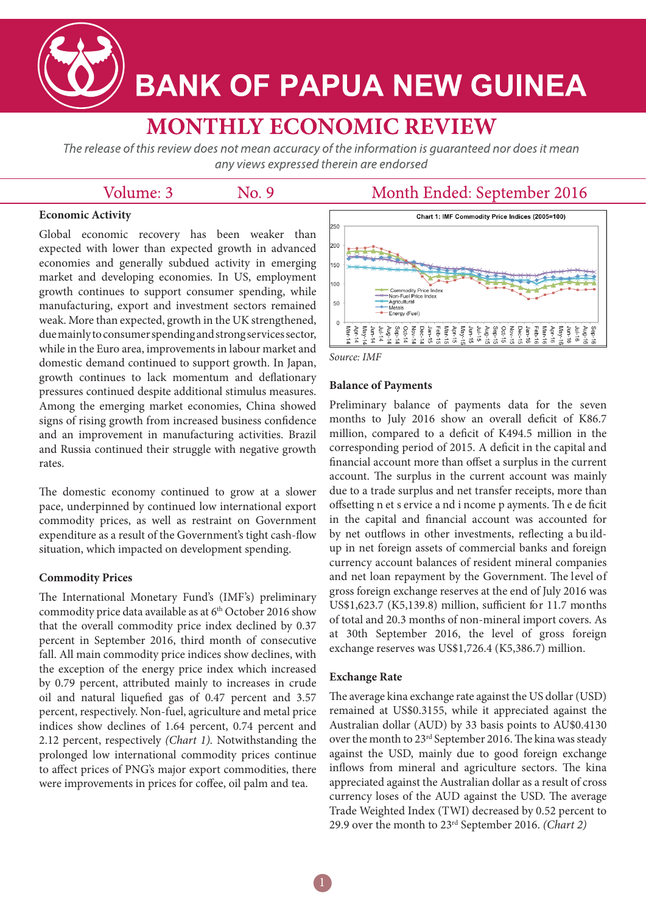

# **BANK OF PAPUA NEW GUINEA**

# **MONTHLY ECONOMIC REVIEW**

The release of this review does not mean accuracy of the information is guaranteed nor does it mean any views expressed therein are endorsed

## Volume: 3

No. 9

### Month Ended: September 2016

#### **Economic Activity**

Global economic recovery has been weaker than expected with lower than expected growth in advanced economies and generally subdued activity in emerging market and developing economies. In US, employment growth continues to support consumer spending, while manufacturing, export and investment sectors remained weak. More than expected, growth in the UK strengthened, due mainly to consumer spending and strong services sector, while in the Euro area, improvements in labour market and domestic demand continued to support growth. In Japan, growth continues to lack momentum and deflationary pressures continued despite additional stimulus measures. Among the emerging market economies, China showed signs of rising growth from increased business confidence and an improvement in manufacturing activities. Brazil and Russia continued their struggle with negative growth rates.

The domestic economy continued to grow at a slower pace, underpinned by continued low international export commodity prices, as well as restraint on Government expenditure as a result of the Government's tight cash-flow situation, which impacted on development spending.

#### **Commodity Prices**

The International Monetary Fund's (IMF's) preliminary commodity price data available as at 6<sup>th</sup> October 2016 show that the overall commodity price index declined by 0.37 percent in September 2016, third month of consecutive fall. All main commodity price indices show declines, with the exception of the energy price index which increased by 0.79 percent, attributed mainly to increases in crude oil and natural liquefied gas of 0.47 percent and 3.57 percent, respectively. Non-fuel, agriculture and metal price indices show declines of 1.64 percent, 0.74 percent and 2.12 percent, respectively *(Chart 1).* Notwithstanding the prolonged low international commodity prices continue to affect prices of PNG's major export commodities, there were improvements in prices for coffee, oil palm and tea.



*Source: IMF*

#### **Balance of Payments**

Preliminary balance of payments data for the seven months to July 2016 show an overall deficit of K86.7 million, compared to a deficit of K494.5 million in the corresponding period of 2015. A deficit in the capital and financial account more than offset a surplus in the current account. The surplus in the current account was mainly due to a trade surplus and net transfer receipts, more than offsetting n et s ervice a nd i ncome p ayments. Th e de ficit in the capital and financial account was accounted for by net outflows in other investments, reflecting a bu ildup in net foreign assets of commercial banks and foreign currency account balances of resident mineral companies and net loan repayment by the Government. The level of gross foreign exchange reserves at the end of July 2016 was US\$1,623.7 (K5,139.8) million, sufficient for 11.7 months of total and 20.3 months of non-mineral import covers. As at 30th September 2016, the level of gross foreign exchange reserves was US\$1,726.4 (K5,386.7) million.

#### **Exchange Rate**

The average kina exchange rate against the US dollar (USD) remained at US\$0.3155, while it appreciated against the Australian dollar (AUD) by 33 basis points to AU\$0.4130 over the month to 23rd September 2016. The kina was steady against the USD, mainly due to good foreign exchange inflows from mineral and agriculture sectors. The kina appreciated against the Australian dollar as a result of cross currency loses of the AUD against the USD. The average Trade Weighted Index (TWI) decreased by 0.52 percent to 29.9 over the month to 23rd September 2016. *(Chart 2)*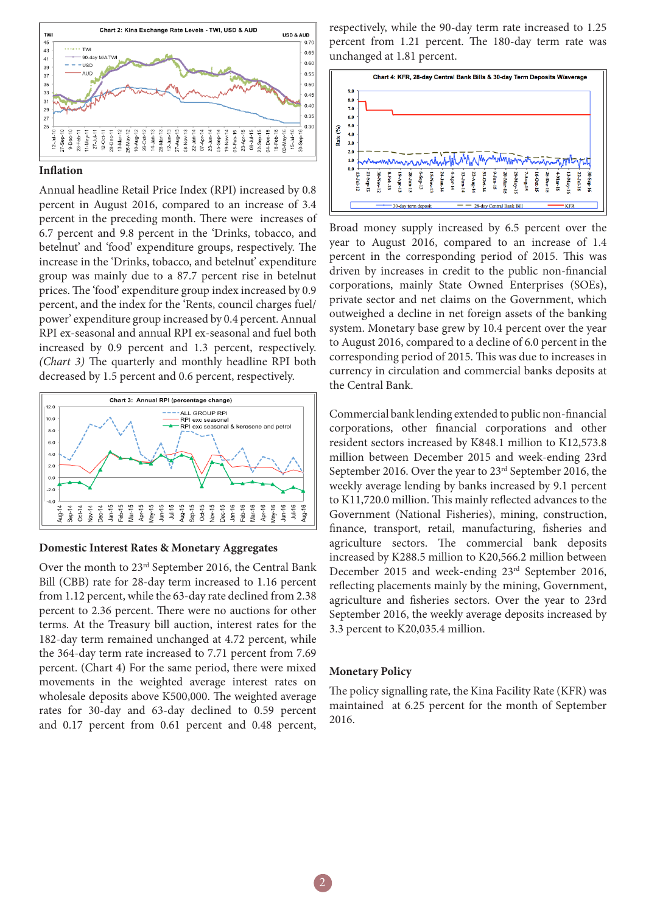

#### **Inflation**

Annual headline Retail Price Index (RPI) increased by 0.8 percent in August 2016, compared to an increase of 3.4 percent in the preceding month. There were increases of 6.7 percent and 9.8 percent in the 'Drinks, tobacco, and betelnut' and 'food' expenditure groups, respectively. The increase in the 'Drinks, tobacco, and betelnut' expenditure group was mainly due to a 87.7 percent rise in betelnut prices. The 'food' expenditure group index increased by 0.9 percent, and the index for the 'Rents, council charges fuel/ power' expenditure group increased by 0.4 percent. Annual RPI ex-seasonal and annual RPI ex-seasonal and fuel both increased by 0.9 percent and 1.3 percent, respectively. *(Chart 3)* The quarterly and monthly headline RPI both decreased by 1.5 percent and 0.6 percent, respectively.



#### **Domestic Interest Rates & Monetary Aggregates**

Over the month to 23rd September 2016, the Central Bank Bill (CBB) rate for 28-day term increased to 1.16 percent from 1.12 percent, while the 63-day rate declined from 2.38 percent to 2.36 percent. There were no auctions for other terms. At the Treasury bill auction, interest rates for the 182-day term remained unchanged at 4.72 percent, while the 364-day term rate increased to 7.71 percent from 7.69 percent. (Chart 4) For the same period, there were mixed movements in the weighted average interest rates on wholesale deposits above K500,000. The weighted average rates for 30-day and 63-day declined to 0.59 percent and 0.17 percent from 0.61 percent and 0.48 percent,

respectively, while the 90-day term rate increased to 1.25 percent from 1.21 percent. The 180-day term rate was unchanged at 1.81 percent.



Broad money supply increased by 6.5 percent over the year to August 2016, compared to an increase of 1.4 percent in the corresponding period of 2015. This was driven by increases in credit to the public non-financial corporations, mainly State Owned Enterprises (SOEs), private sector and net claims on the Government, which outweighed a decline in net foreign assets of the banking system. Monetary base grew by 10.4 percent over the year to August 2016, compared to a decline of 6.0 percent in the corresponding period of 2015. This was due to increases in currency in circulation and commercial banks deposits at the Central Bank.

Commercial bank lending extended to public non-financial corporations, other financial corporations and other resident sectors increased by K848.1 million to K12,573.8 million between December 2015 and week-ending 23rd September 2016. Over the year to 23rd September 2016, the weekly average lending by banks increased by 9.1 percent to K11,720.0 million. This mainly reflected advances to the Government (National Fisheries), mining, construction, finance, transport, retail, manufacturing, fisheries and agriculture sectors. The commercial bank deposits increased by K288.5 million to K20,566.2 million between December 2015 and week-ending 23rd September 2016, reflecting placements mainly by the mining, Government, agriculture and fisheries sectors. Over the year to 23rd September 2016, the weekly average deposits increased by 3.3 percent to K20,035.4 million.

#### **Monetary Policy**

The policy signalling rate, the Kina Facility Rate (KFR) was maintained at 6.25 percent for the month of September 2016.